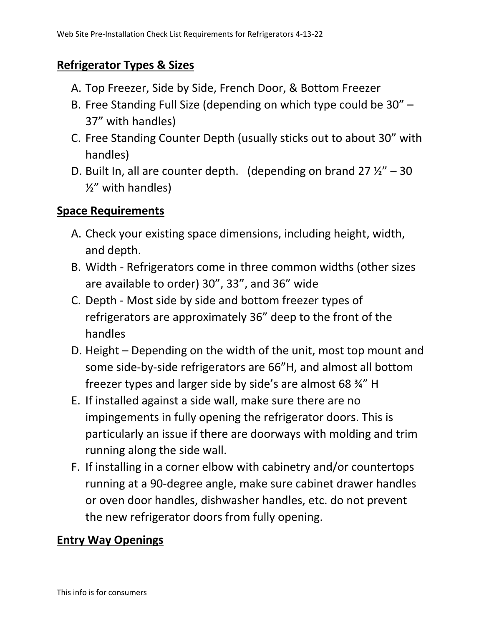## **Refrigerator Types & Sizes**

- A. Top Freezer, Side by Side, French Door, & Bottom Freezer
- B. Free Standing Full Size (depending on which type could be 30" 37" with handles)
- C. Free Standing Counter Depth (usually sticks out to about 30" with handles)
- D. Built In, all are counter depth. (depending on brand 27  $\frac{1}{2}$ " 30 ½" with handles)

#### **Space Requirements**

- A. Check your existing space dimensions, including height, width, and depth.
- B. Width Refrigerators come in three common widths (other sizes are available to order) 30", 33", and 36" wide
- C. Depth Most side by side and bottom freezer types of refrigerators are approximately 36" deep to the front of the handles
- D. Height Depending on the width of the unit, most top mount and some side-by-side refrigerators are 66"H, and almost all bottom freezer types and larger side by side's are almost 68 ¾" H
- E. If installed against a side wall, make sure there are no impingements in fully opening the refrigerator doors. This is particularly an issue if there are doorways with molding and trim running along the side wall.
- F. If installing in a corner elbow with cabinetry and/or countertops running at a 90-degree angle, make sure cabinet drawer handles or oven door handles, dishwasher handles, etc. do not prevent the new refrigerator doors from fully opening.

#### **Entry Way Openings**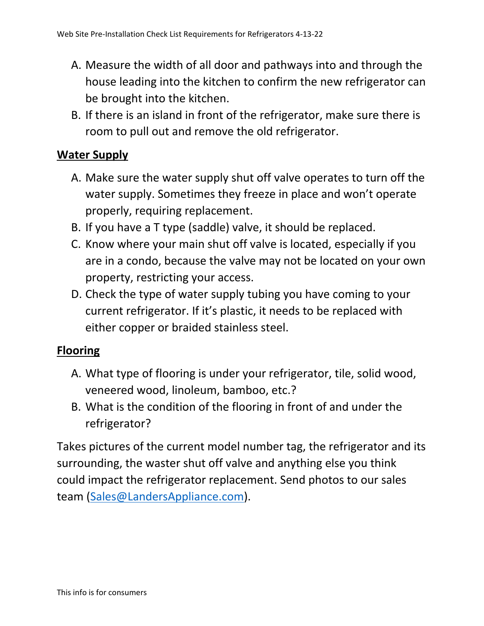- A. Measure the width of all door and pathways into and through the house leading into the kitchen to confirm the new refrigerator can be brought into the kitchen.
- B. If there is an island in front of the refrigerator, make sure there is room to pull out and remove the old refrigerator.

## **Water Supply**

- A. Make sure the water supply shut off valve operates to turn off the water supply. Sometimes they freeze in place and won't operate properly, requiring replacement.
- B. If you have a T type (saddle) valve, it should be replaced.
- C. Know where your main shut off valve is located, especially if you are in a condo, because the valve may not be located on your own property, restricting your access.
- D. Check the type of water supply tubing you have coming to your current refrigerator. If it's plastic, it needs to be replaced with either copper or braided stainless steel.

# **Flooring**

- A. What type of flooring is under your refrigerator, tile, solid wood, veneered wood, linoleum, bamboo, etc.?
- B. What is the condition of the flooring in front of and under the refrigerator?

Takes pictures of the current model number tag, the refrigerator and its surrounding, the waster shut off valve and anything else you think could impact the refrigerator replacement. Send photos to our sales team [\(Sales@LandersAppliance.com\)](mailto:Sales@LandersAppliance.com).